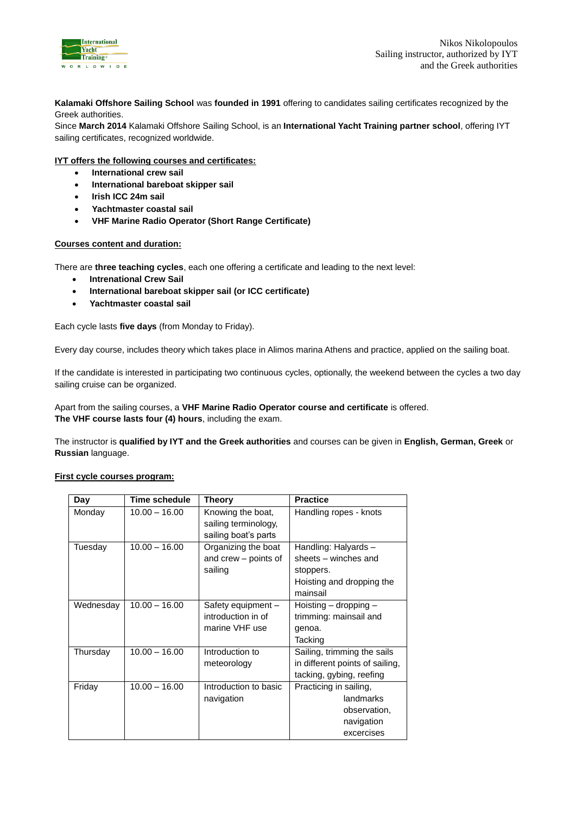

**Kalamaki Offshore Sailing School** was **founded in 1991** offering to candidates sailing certificates recognized by the Greek authorities.

Since **March 2014** Kalamaki Offshore Sailing School, is an **International Yacht Training partner school**, offering IYT sailing certificates, recognized worldwide.

## **IYT offers the following courses and certificates:**

- **International crew sail**
- **International bareboat skipper sail**
- **Irish ICC 24m sail**
- **Yachtmaster coastal sail**
- **VHF Marine Radio Operator (Short Range Certificate)**

#### **Courses content and duration:**

There are **three teaching cycles**, each one offering a certificate and leading to the next level:

- **Intrenational Crew Sail**
- **International bareboat skipper sail (or ICC certificate)**
- **Yachtmaster coastal sail**

Each cycle lasts **five days** (from Monday to Friday).

Every day course, includes theory which takes place in Alimos marina Athens and practice, applied on the sailing boat.

If the candidate is interested in participating two continuous cycles, optionally, the weekend between the cycles a two day sailing cruise can be organized.

Apart from the sailing courses, a **VHF Marine Radio Operator course and certificate** is offered. **The VHF course lasts four (4) hours**, including the exam.

The instructor is **qualified by IYT and the Greek authorities** and courses can be given in **English, German, Greek** or **Russian** language.

#### **First cycle courses program:**

| Day       | Time schedule   | Theory                                                            | <b>Practice</b>                                                                                    |
|-----------|-----------------|-------------------------------------------------------------------|----------------------------------------------------------------------------------------------------|
| Monday    | $10.00 - 16.00$ | Knowing the boat,<br>sailing terminology,<br>sailing boat's parts | Handling ropes - knots                                                                             |
| Tuesday   | $10.00 - 16.00$ | Organizing the boat<br>and crew - points of<br>sailing            | Handling: Halyards -<br>sheets - winches and<br>stoppers.<br>Hoisting and dropping the<br>mainsail |
| Wednesday | $10.00 - 16.00$ | Safety equipment -<br>introduction in of<br>marine VHF use        | Hoisting - dropping -<br>trimming: mainsail and<br>genoa.<br>Tacking                               |
| Thursday  | $10.00 - 16.00$ | Introduction to<br>meteorology                                    | Sailing, trimming the sails<br>in different points of sailing,<br>tacking, gybing, reefing         |
| Friday    | $10.00 - 16.00$ | Introduction to basic<br>navigation                               | Practicing in sailing,<br>landmarks<br>observation,<br>navigation<br>excercises                    |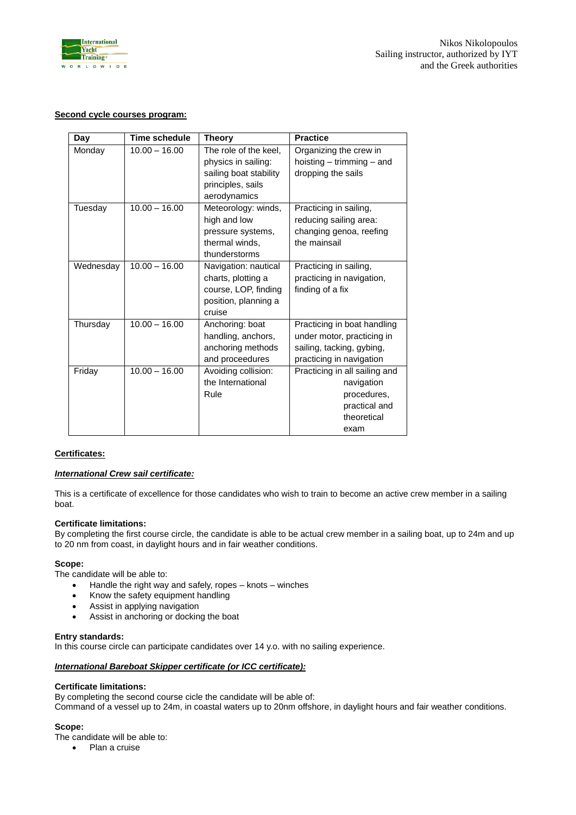

# **Second cycle courses program:**

| Day       | Time schedule   | <b>Theory</b>                                | <b>Practice</b>                                         |
|-----------|-----------------|----------------------------------------------|---------------------------------------------------------|
| Monday    | $10.00 - 16.00$ | The role of the keel,<br>physics in sailing: | Organizing the crew in<br>hoisting $-$ trimming $-$ and |
|           |                 | sailing boat stability                       | dropping the sails                                      |
|           |                 | principles, sails                            |                                                         |
|           |                 | aerodynamics                                 |                                                         |
| Tuesday   | $10.00 - 16.00$ | Meteorology: winds,                          | Practicing in sailing,                                  |
|           |                 | high and low                                 | reducing sailing area:                                  |
|           |                 | pressure systems,                            | changing genoa, reefing                                 |
|           |                 | thermal winds,                               | the mainsail                                            |
|           |                 | thunderstorms                                |                                                         |
| Wednesday | $10.00 - 16.00$ | Navigation: nautical                         | Practicing in sailing,                                  |
|           |                 | charts, plotting a                           | practicing in navigation,                               |
|           |                 | course, LOP, finding                         | finding of a fix                                        |
|           |                 | position, planning a<br>cruise               |                                                         |
| Thursday  | $10.00 - 16.00$ | Anchoring: boat                              | Practicing in boat handling                             |
|           |                 | handling, anchors,                           | under motor, practicing in                              |
|           |                 | anchoring methods                            | sailing, tacking, gybing,                               |
|           |                 | and proceedures                              | practicing in navigation                                |
| Friday    | $10.00 - 16.00$ | Avoiding collision:                          | Practicing in all sailing and                           |
|           |                 | the International                            | navigation                                              |
|           |                 | Rule                                         | procedures,                                             |
|           |                 |                                              | practical and                                           |
|           |                 |                                              | theoretical                                             |
|           |                 |                                              | exam                                                    |

# **Certificates:**

#### *International Crew sail certificate:*

This is a certificate of excellence for those candidates who wish to train to become an active crew member in a sailing boat.

#### **Certificate limitations:**

By completing the first course circle, the candidate is able to be actual crew member in a sailing boat, up to 24m and up to 20 nm from coast, in daylight hours and in fair weather conditions.

#### **Scope:**

The candidate will be able to:

- Handle the right way and safely, ropes knots winches
- Know the safety equipment handling
- Assist in applying navigation
- Assist in anchoring or docking the boat

#### **Entry standards:**

In this course circle can participate candidates over 14 y.o. with no sailing experience.

## *International Bareboat Skipper certificate (or ICC certificate):*

#### **Certificate limitations:**

By completing the second course cicle the candidate will be able of:

Command of a vessel up to 24m, in coastal waters up to 20nm offshore, in daylight hours and fair weather conditions.

#### **Scope:**

The candidate will be able to:

• Plan a cruise